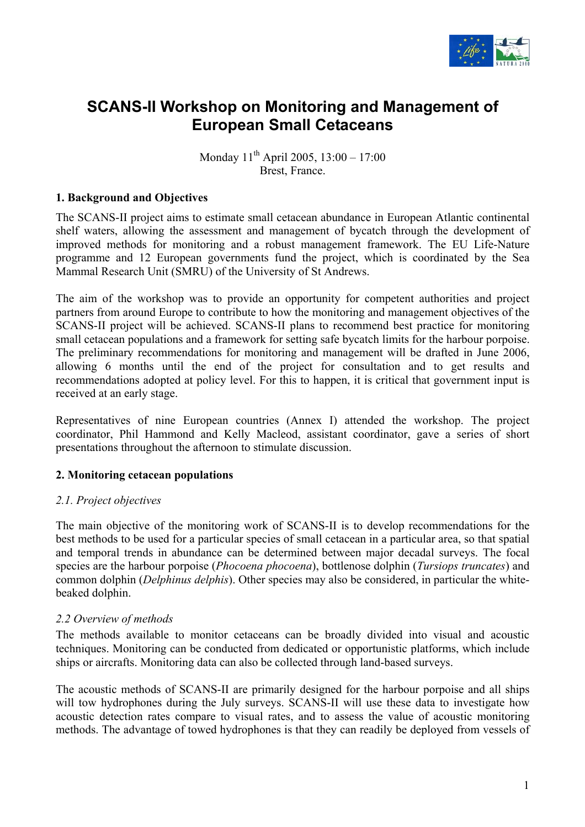

# **SCANS-II Workshop on Monitoring and Management of European Small Cetaceans**

Monday 11<sup>th</sup> April 2005, 13:00 – 17:00 Brest, France.

## **1. Background and Objectives**

The SCANS-II project aims to estimate small cetacean abundance in European Atlantic continental shelf waters, allowing the assessment and management of bycatch through the development of improved methods for monitoring and a robust management framework. The EU Life-Nature programme and 12 European governments fund the project, which is coordinated by the Sea Mammal Research Unit (SMRU) of the University of St Andrews.

The aim of the workshop was to provide an opportunity for competent authorities and project partners from around Europe to contribute to how the monitoring and management objectives of the SCANS-II project will be achieved. SCANS-II plans to recommend best practice for monitoring small cetacean populations and a framework for setting safe bycatch limits for the harbour porpoise. The preliminary recommendations for monitoring and management will be drafted in June 2006, allowing 6 months until the end of the project for consultation and to get results and recommendations adopted at policy level. For this to happen, it is critical that government input is received at an early stage.

Representatives of nine European countries (Annex I) attended the workshop. The project coordinator, Phil Hammond and Kelly Macleod, assistant coordinator, gave a series of short presentations throughout the afternoon to stimulate discussion.

# **2. Monitoring cetacean populations**

## *2.1. Project objectives*

The main objective of the monitoring work of SCANS-II is to develop recommendations for the best methods to be used for a particular species of small cetacean in a particular area, so that spatial and temporal trends in abundance can be determined between major decadal surveys. The focal species are the harbour porpoise (*Phocoena phocoena*), bottlenose dolphin (*Tursiops truncates*) and common dolphin (*Delphinus delphis*). Other species may also be considered, in particular the whitebeaked dolphin.

## *2.2 Overview of methods*

The methods available to monitor cetaceans can be broadly divided into visual and acoustic techniques. Monitoring can be conducted from dedicated or opportunistic platforms, which include ships or aircrafts. Monitoring data can also be collected through land-based surveys.

The acoustic methods of SCANS-II are primarily designed for the harbour porpoise and all ships will tow hydrophones during the July surveys. SCANS-II will use these data to investigate how acoustic detection rates compare to visual rates, and to assess the value of acoustic monitoring methods. The advantage of towed hydrophones is that they can readily be deployed from vessels of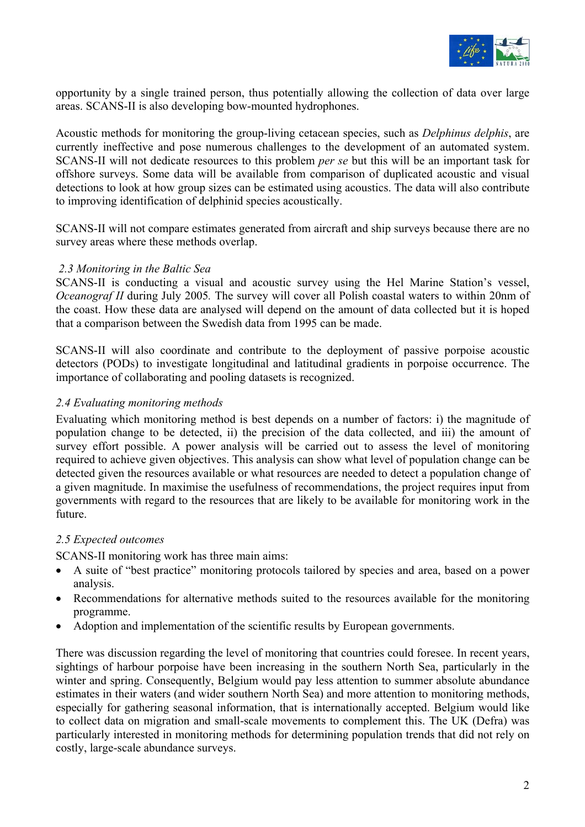

opportunity by a single trained person, thus potentially allowing the collection of data over large areas. SCANS-II is also developing bow-mounted hydrophones.

Acoustic methods for monitoring the group-living cetacean species, such as *Delphinus delphis*, are currently ineffective and pose numerous challenges to the development of an automated system. SCANS-II will not dedicate resources to this problem *per se* but this will be an important task for offshore surveys. Some data will be available from comparison of duplicated acoustic and visual detections to look at how group sizes can be estimated using acoustics. The data will also contribute to improving identification of delphinid species acoustically.

SCANS-II will not compare estimates generated from aircraft and ship surveys because there are no survey areas where these methods overlap.

## *2.3 Monitoring in the Baltic Sea*

SCANS-II is conducting a visual and acoustic survey using the Hel Marine Station's vessel, *Oceanograf II* during July 2005. The survey will cover all Polish coastal waters to within 20nm of the coast. How these data are analysed will depend on the amount of data collected but it is hoped that a comparison between the Swedish data from 1995 can be made.

SCANS-II will also coordinate and contribute to the deployment of passive porpoise acoustic detectors (PODs) to investigate longitudinal and latitudinal gradients in porpoise occurrence. The importance of collaborating and pooling datasets is recognized.

## *2.4 Evaluating monitoring methods*

Evaluating which monitoring method is best depends on a number of factors: i) the magnitude of population change to be detected, ii) the precision of the data collected, and iii) the amount of survey effort possible. A power analysis will be carried out to assess the level of monitoring required to achieve given objectives. This analysis can show what level of population change can be detected given the resources available or what resources are needed to detect a population change of a given magnitude. In maximise the usefulness of recommendations, the project requires input from governments with regard to the resources that are likely to be available for monitoring work in the future.

# *2.5 Expected outcomes*

SCANS-II monitoring work has three main aims:

- A suite of "best practice" monitoring protocols tailored by species and area, based on a power analysis.
- Recommendations for alternative methods suited to the resources available for the monitoring programme.
- Adoption and implementation of the scientific results by European governments.

There was discussion regarding the level of monitoring that countries could foresee. In recent years, sightings of harbour porpoise have been increasing in the southern North Sea, particularly in the winter and spring. Consequently, Belgium would pay less attention to summer absolute abundance estimates in their waters (and wider southern North Sea) and more attention to monitoring methods, especially for gathering seasonal information, that is internationally accepted. Belgium would like to collect data on migration and small-scale movements to complement this. The UK (Defra) was particularly interested in monitoring methods for determining population trends that did not rely on costly, large-scale abundance surveys.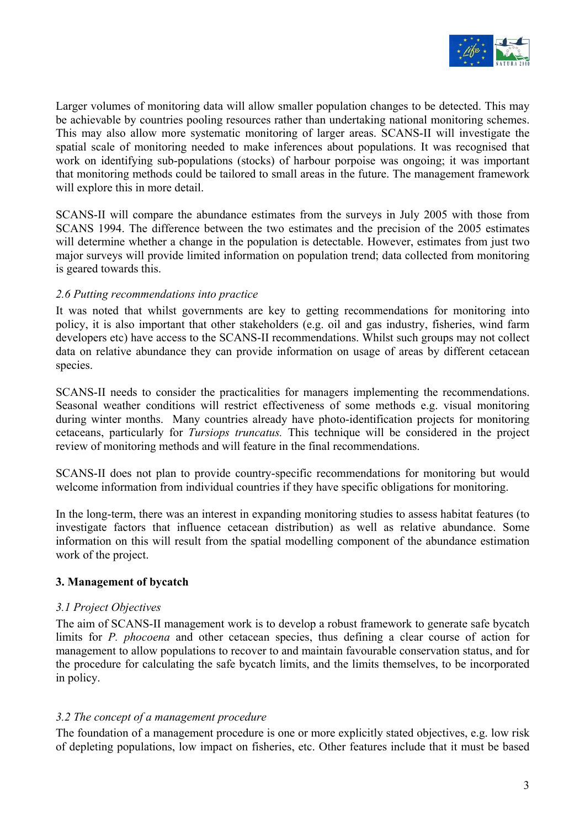

Larger volumes of monitoring data will allow smaller population changes to be detected. This may be achievable by countries pooling resources rather than undertaking national monitoring schemes. This may also allow more systematic monitoring of larger areas. SCANS-II will investigate the spatial scale of monitoring needed to make inferences about populations. It was recognised that work on identifying sub-populations (stocks) of harbour porpoise was ongoing; it was important that monitoring methods could be tailored to small areas in the future. The management framework will explore this in more detail.

SCANS-II will compare the abundance estimates from the surveys in July 2005 with those from SCANS 1994. The difference between the two estimates and the precision of the 2005 estimates will determine whether a change in the population is detectable. However, estimates from just two major surveys will provide limited information on population trend; data collected from monitoring is geared towards this.

# *2.6 Putting recommendations into practice*

It was noted that whilst governments are key to getting recommendations for monitoring into policy, it is also important that other stakeholders (e.g. oil and gas industry, fisheries, wind farm developers etc) have access to the SCANS-II recommendations. Whilst such groups may not collect data on relative abundance they can provide information on usage of areas by different cetacean species.

SCANS-II needs to consider the practicalities for managers implementing the recommendations. Seasonal weather conditions will restrict effectiveness of some methods e.g. visual monitoring during winter months. Many countries already have photo-identification projects for monitoring cetaceans, particularly for *Tursiops truncatus.* This technique will be considered in the project review of monitoring methods and will feature in the final recommendations.

SCANS-II does not plan to provide country-specific recommendations for monitoring but would welcome information from individual countries if they have specific obligations for monitoring.

In the long-term, there was an interest in expanding monitoring studies to assess habitat features (to investigate factors that influence cetacean distribution) as well as relative abundance. Some information on this will result from the spatial modelling component of the abundance estimation work of the project.

# **3. Management of bycatch**

## *3.1 Project Objectives*

The aim of SCANS-II management work is to develop a robust framework to generate safe bycatch limits for *P. phocoena* and other cetacean species, thus defining a clear course of action for management to allow populations to recover to and maintain favourable conservation status, and for the procedure for calculating the safe bycatch limits, and the limits themselves, to be incorporated in policy.

# *3.2 The concept of a management procedure*

The foundation of a management procedure is one or more explicitly stated objectives, e.g. low risk of depleting populations, low impact on fisheries, etc. Other features include that it must be based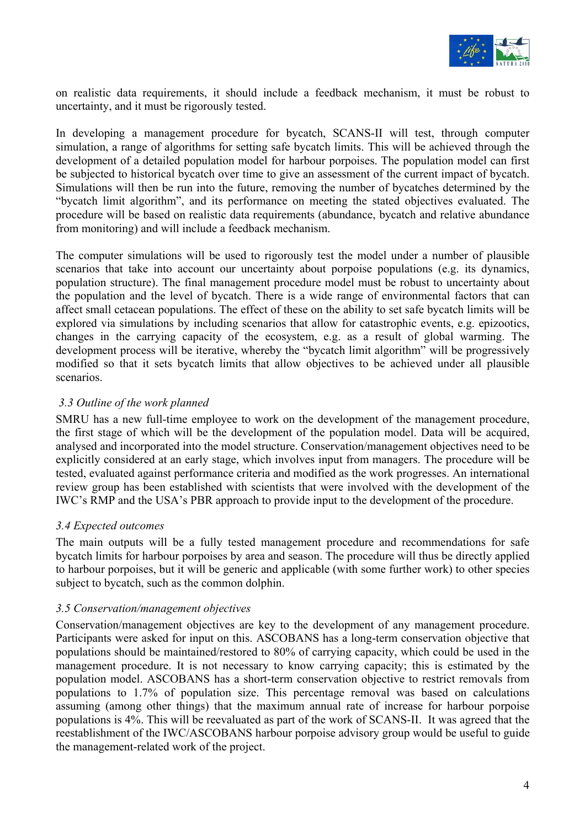

on realistic data requirements, it should include a feedback mechanism, it must be robust to uncertainty, and it must be rigorously tested.

In developing a management procedure for bycatch, SCANS-II will test, through computer simulation, a range of algorithms for setting safe bycatch limits. This will be achieved through the development of a detailed population model for harbour porpoises. The population model can first be subjected to historical bycatch over time to give an assessment of the current impact of bycatch. Simulations will then be run into the future, removing the number of bycatches determined by the "bycatch limit algorithm", and its performance on meeting the stated objectives evaluated. The procedure will be based on realistic data requirements (abundance, bycatch and relative abundance from monitoring) and will include a feedback mechanism.

The computer simulations will be used to rigorously test the model under a number of plausible scenarios that take into account our uncertainty about porpoise populations (e.g. its dynamics, population structure). The final management procedure model must be robust to uncertainty about the population and the level of bycatch. There is a wide range of environmental factors that can affect small cetacean populations. The effect of these on the ability to set safe bycatch limits will be explored via simulations by including scenarios that allow for catastrophic events, e.g. epizootics, changes in the carrying capacity of the ecosystem, e.g. as a result of global warming. The development process will be iterative, whereby the "bycatch limit algorithm" will be progressively modified so that it sets bycatch limits that allow objectives to be achieved under all plausible scenarios.

## *3.3 Outline of the work planned*

SMRU has a new full-time employee to work on the development of the management procedure, the first stage of which will be the development of the population model. Data will be acquired, analysed and incorporated into the model structure. Conservation/management objectives need to be explicitly considered at an early stage, which involves input from managers. The procedure will be tested, evaluated against performance criteria and modified as the work progresses. An international review group has been established with scientists that were involved with the development of the IWC's RMP and the USA's PBR approach to provide input to the development of the procedure.

# *3.4 Expected outcomes*

The main outputs will be a fully tested management procedure and recommendations for safe bycatch limits for harbour porpoises by area and season. The procedure will thus be directly applied to harbour porpoises, but it will be generic and applicable (with some further work) to other species subject to bycatch, such as the common dolphin.

## *3.5 Conservation/management objectives*

Conservation/management objectives are key to the development of any management procedure. Participants were asked for input on this. ASCOBANS has a long-term conservation objective that populations should be maintained/restored to 80% of carrying capacity, which could be used in the management procedure. It is not necessary to know carrying capacity; this is estimated by the population model. ASCOBANS has a short-term conservation objective to restrict removals from populations to 1.7% of population size. This percentage removal was based on calculations assuming (among other things) that the maximum annual rate of increase for harbour porpoise populations is 4%. This will be reevaluated as part of the work of SCANS-II. It was agreed that the reestablishment of the IWC/ASCOBANS harbour porpoise advisory group would be useful to guide the management-related work of the project.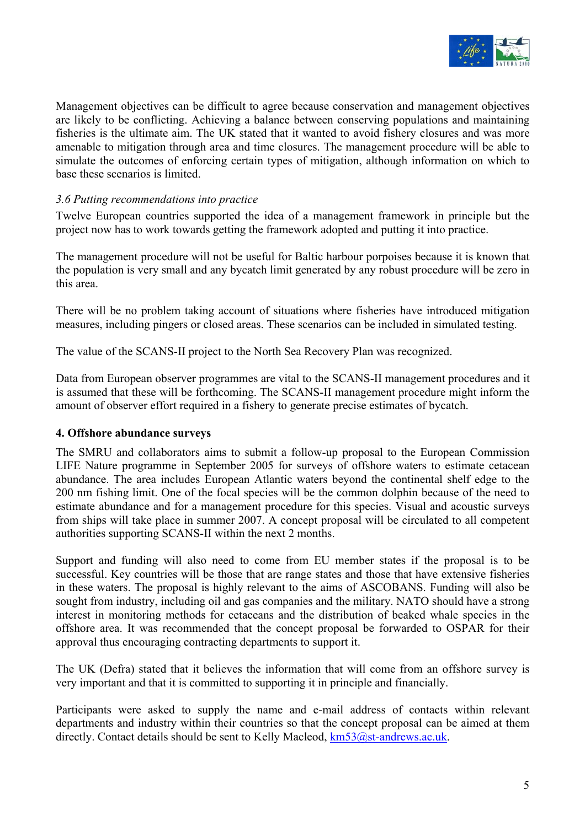

Management objectives can be difficult to agree because conservation and management objectives are likely to be conflicting. Achieving a balance between conserving populations and maintaining fisheries is the ultimate aim. The UK stated that it wanted to avoid fishery closures and was more amenable to mitigation through area and time closures. The management procedure will be able to simulate the outcomes of enforcing certain types of mitigation, although information on which to base these scenarios is limited.

# *3.6 Putting recommendations into practice*

Twelve European countries supported the idea of a management framework in principle but the project now has to work towards getting the framework adopted and putting it into practice.

The management procedure will not be useful for Baltic harbour porpoises because it is known that the population is very small and any bycatch limit generated by any robust procedure will be zero in this area.

There will be no problem taking account of situations where fisheries have introduced mitigation measures, including pingers or closed areas. These scenarios can be included in simulated testing.

The value of the SCANS-II project to the North Sea Recovery Plan was recognized.

Data from European observer programmes are vital to the SCANS-II management procedures and it is assumed that these will be forthcoming. The SCANS-II management procedure might inform the amount of observer effort required in a fishery to generate precise estimates of bycatch.

## **4. Offshore abundance surveys**

The SMRU and collaborators aims to submit a follow-up proposal to the European Commission LIFE Nature programme in September 2005 for surveys of offshore waters to estimate cetacean abundance. The area includes European Atlantic waters beyond the continental shelf edge to the 200 nm fishing limit. One of the focal species will be the common dolphin because of the need to estimate abundance and for a management procedure for this species. Visual and acoustic surveys from ships will take place in summer 2007. A concept proposal will be circulated to all competent authorities supporting SCANS-II within the next 2 months.

Support and funding will also need to come from EU member states if the proposal is to be successful. Key countries will be those that are range states and those that have extensive fisheries in these waters. The proposal is highly relevant to the aims of ASCOBANS. Funding will also be sought from industry, including oil and gas companies and the military. NATO should have a strong interest in monitoring methods for cetaceans and the distribution of beaked whale species in the offshore area. It was recommended that the concept proposal be forwarded to OSPAR for their approval thus encouraging contracting departments to support it.

The UK (Defra) stated that it believes the information that will come from an offshore survey is very important and that it is committed to supporting it in principle and financially.

Participants were asked to supply the name and e-mail address of contacts within relevant departments and industry within their countries so that the concept proposal can be aimed at them directly. Contact details should be sent to Kelly Macleod,  $km53@$ st-andrews.ac.uk.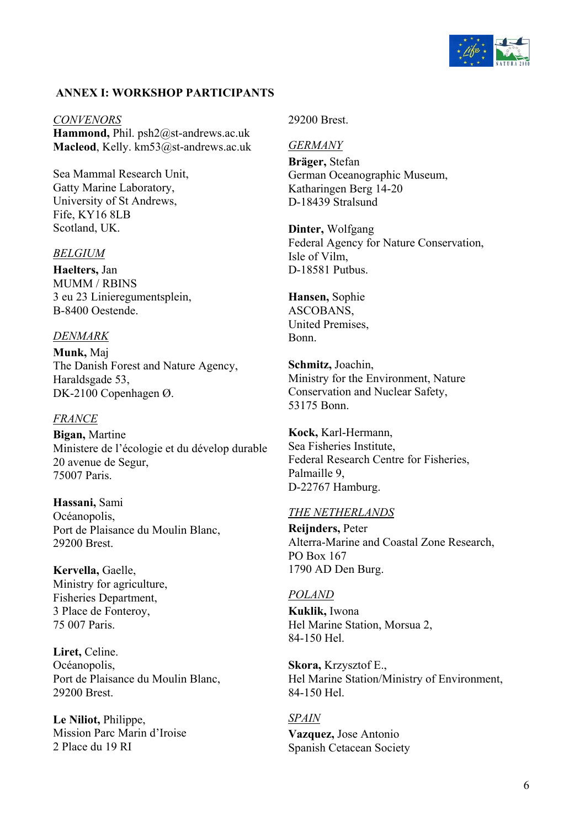

## **ANNEX I: WORKSHOP PARTICIPANTS**

*CONVENORS* **Hammond,** Phil. psh2@st-andrews.ac.uk **Macleod**, Kelly. km53@st-andrews.ac.uk

Sea Mammal Research Unit, Gatty Marine Laboratory, University of St Andrews, Fife, KY16 8LB Scotland, UK.

#### *BELGIUM*

**Haelters,** Jan MUMM / RBINS 3 eu 23 Linieregumentsplein, B-8400 Oestende.

#### *DENMARK*

**Munk,** Maj The Danish Forest and Nature Agency, Haraldsgade 53, DK-2100 Copenhagen Ø.

#### *FRANCE*

**Bigan,** Martine Ministere de l'écologie et du dévelop durable 20 avenue de Segur, 75007 Paris.

**Hassani,** Sami Océanopolis, Port de Plaisance du Moulin Blanc, 29200 Brest.

**Kervella,** Gaelle, Ministry for agriculture, Fisheries Department, 3 Place de Fonteroy, 75 007 Paris.

**Liret,** Celine. Océanopolis, Port de Plaisance du Moulin Blanc, 29200 Brest.

**Le Niliot,** Philippe, Mission Parc Marin d'Iroise 2 Place du 19 RI

29200 Brest.

#### *GERMANY*

**Bräger,** Stefan German Oceanographic Museum, Katharingen Berg 14-20 D-18439 Stralsund

**Dinter,** Wolfgang Federal Agency for Nature Conservation, Isle of Vilm, D-18581 Putbus.

**Hansen,** Sophie ASCOBANS, United Premises, Bonn.

**Schmitz,** Joachin, Ministry for the Environment, Nature Conservation and Nuclear Safety, 53175 Bonn.

**Kock,** Karl-Hermann, Sea Fisheries Institute, Federal Research Centre for Fisheries, Palmaille 9, D-22767 Hamburg.

#### *THE NETHERLANDS*

**Reijnders,** Peter Alterra-Marine and Coastal Zone Research, PO Box 167 1790 AD Den Burg.

#### *POLAND*

**Kuklik,** Iwona Hel Marine Station, Morsua 2, 84-150 Hel.

**Skora,** Krzysztof E., Hel Marine Station/Ministry of Environment, 84-150 Hel.

## *SPAIN*

**Vazquez,** Jose Antonio Spanish Cetacean Society